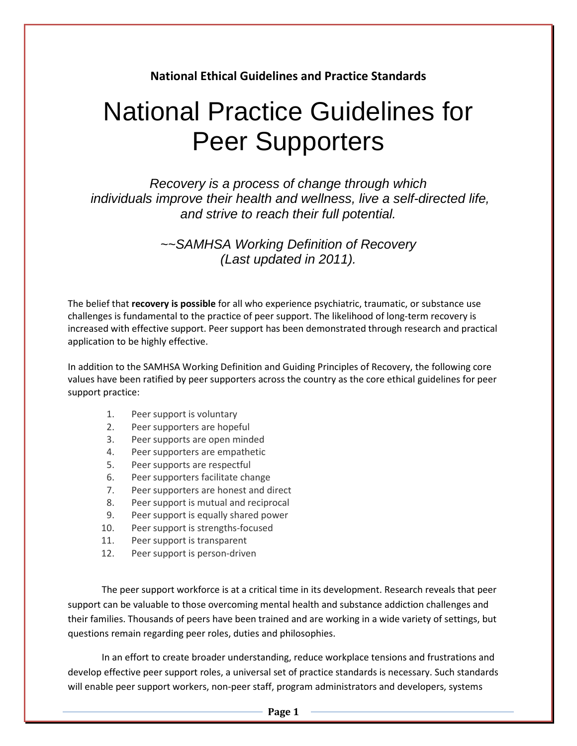# **National Ethical Guidelines and Practice Standards**

# National Practice Guidelines for Peer Supporters

Recovery is a process of change through which individuals improve their health and wellness, live a self-directed life, and strive to reach their full potential.

> ~~SAMHSA Working Definition of Recovery (Last updated in 2011).

The belief that **recovery is possible** for all who experience psychiatric, traumatic, or substance use challenges is fundamental to the practice of peer support. The likelihood of long-term recovery is increased with effective support. Peer support has been demonstrated through research and practical application to be highly effective.

In addition to the SAMHSA Working Definition and Guiding Principles of Recovery, the following core values have been ratified by peer supporters across the country as the core ethical guidelines for peer support practice:

- 1. Peer support is voluntary
- 2. Peer supporters are hopeful
- 3. Peer supports are open minded
- 4. Peer supporters are empathetic
- 5. Peer supports are respectful
- 6. Peer supporters facilitate change
- 7. Peer supporters are honest and direct
- 8. Peer support is mutual and reciprocal
- 9. Peer support is equally shared power
- 10. Peer support is strengths-focused
- 11. Peer support is transparent
- 12. Peer support is person-driven

The peer support workforce is at a critical time in its development. Research reveals that peer support can be valuable to those overcoming mental health and substance addiction challenges and their families. Thousands of peers have been trained and are working in a wide variety of settings, but questions remain regarding peer roles, duties and philosophies.

 In an effort to create broader understanding, reduce workplace tensions and frustrations and develop effective peer support roles, a universal set of practice standards is necessary. Such standards will enable peer support workers, non-peer staff, program administrators and developers, systems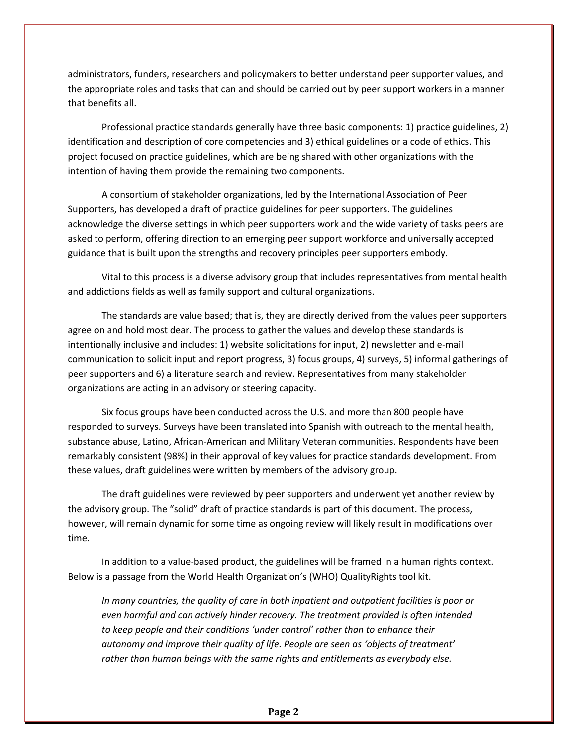administrators, funders, researchers and policymakers to better understand peer supporter values, and the appropriate roles and tasks that can and should be carried out by peer support workers in a manner that benefits all.

 Professional practice standards generally have three basic components: 1) practice guidelines, 2) identification and description of core competencies and 3) ethical guidelines or a code of ethics. This project focused on practice guidelines, which are being shared with other organizations with the intention of having them provide the remaining two components.

 A consortium of stakeholder organizations, led by the International Association of Peer Supporters, has developed a draft of practice guidelines for peer supporters. The guidelines acknowledge the diverse settings in which peer supporters work and the wide variety of tasks peers are asked to perform, offering direction to an emerging peer support workforce and universally accepted guidance that is built upon the strengths and recovery principles peer supporters embody.

 Vital to this process is a diverse advisory group that includes representatives from mental health and addictions fields as well as family support and cultural organizations.

 The standards are value based; that is, they are directly derived from the values peer supporters agree on and hold most dear. The process to gather the values and develop these standards is intentionally inclusive and includes: 1) website solicitations for input, 2) newsletter and e-mail communication to solicit input and report progress, 3) focus groups, 4) surveys, 5) informal gatherings of peer supporters and 6) a literature search and review. Representatives from many stakeholder organizations are acting in an advisory or steering capacity.

 Six focus groups have been conducted across the U.S. and more than 800 people have responded to surveys. Surveys have been translated into Spanish with outreach to the mental health, substance abuse, Latino, African-American and Military Veteran communities. Respondents have been remarkably consistent (98%) in their approval of key values for practice standards development. From these values, draft guidelines were written by members of the advisory group.

The draft guidelines were reviewed by peer supporters and underwent yet another review by the advisory group. The "solid" draft of practice standards is part of this document. The process, however, will remain dynamic for some time as ongoing review will likely result in modifications over time.

 In addition to a value-based product, the guidelines will be framed in a human rights context. Below is a passage from the World Health Organization's (WHO) QualityRights tool kit.

*In many countries, the quality of care in both inpatient and outpatient facilities is poor or even harmful and can actively hinder recovery. The treatment provided is often intended to keep people and their conditions 'under control' rather than to enhance their autonomy and improve their quality of life. People are seen as 'objects of treatment' rather than human beings with the same rights and entitlements as everybody else.*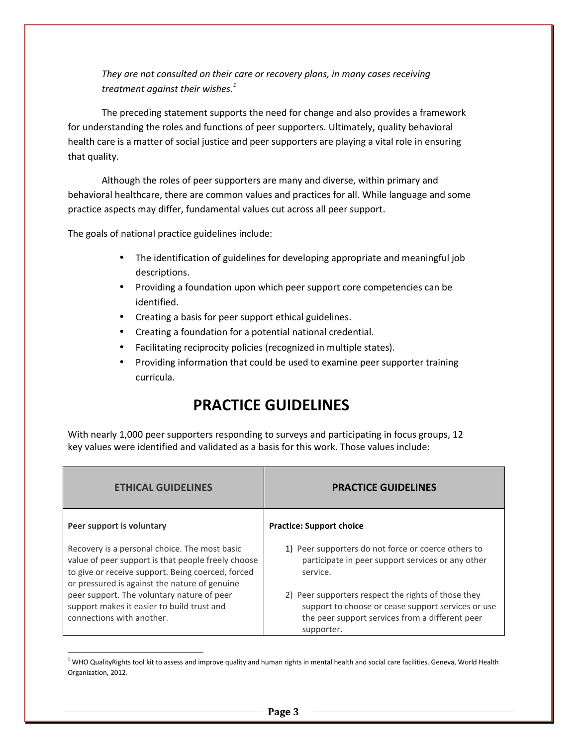*They are not consulted on their care or recovery plans, in many cases receiving treatment against their wishes.<sup>1</sup>*

 The preceding statement supports the need for change and also provides a framework for understanding the roles and functions of peer supporters. Ultimately, quality behavioral health care is a matter of social justice and peer supporters are playing a vital role in ensuring that quality.

Although the roles of peer supporters are many and diverse, within primary and behavioral healthcare, there are common values and practices for all. While language and some practice aspects may differ, fundamental values cut across all peer support.

The goals of national practice guidelines include:

<u>.</u>

- The identification of guidelines for developing appropriate and meaningful job descriptions.
- Providing a foundation upon which peer support core competencies can be identified.
- Creating a basis for peer support ethical guidelines.
- Creating a foundation for a potential national credential.
- Facilitating reciprocity policies (recognized in multiple states).
- Providing information that could be used to examine peer supporter training curricula.

# **PRACTICE GUIDELINES**

With nearly 1,000 peer supporters responding to surveys and participating in focus groups, 12 key values were identified and validated as a basis for this work. Those values include:

| <b>ETHICAL GUIDELINES</b>                                                                                                                                                                                 | <b>PRACTICE GUIDELINES</b>                                                                                                                                                 |  |  |
|-----------------------------------------------------------------------------------------------------------------------------------------------------------------------------------------------------------|----------------------------------------------------------------------------------------------------------------------------------------------------------------------------|--|--|
| Peer support is voluntary                                                                                                                                                                                 | <b>Practice: Support choice</b>                                                                                                                                            |  |  |
| Recovery is a personal choice. The most basic<br>value of peer support is that people freely choose<br>to give or receive support. Being coerced, forced<br>or pressured is against the nature of genuine | 1) Peer supporters do not force or coerce others to<br>participate in peer support services or any other<br>service.                                                       |  |  |
| peer support. The voluntary nature of peer<br>support makes it easier to build trust and<br>connections with another.                                                                                     | 2) Peer supporters respect the rights of those they<br>support to choose or cease support services or use<br>the peer support services from a different peer<br>supporter. |  |  |

 $^1$  WHO QualityRights tool kit to assess and improve quality and human rights in mental health and social care facilities. Geneva, World Health Organization, 2012.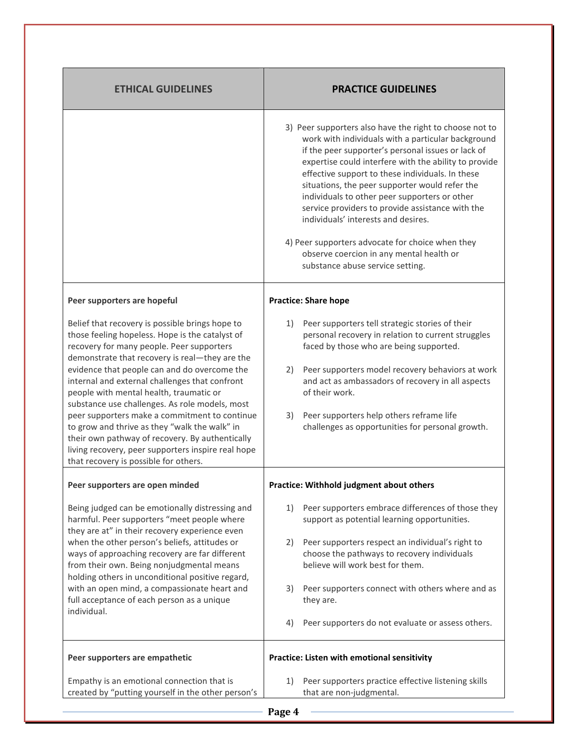| <b>ETHICAL GUIDELINES</b>                                                                                                                                                                                                                                                                                                                                                                                                                                         | <b>PRACTICE GUIDELINES</b>                                                                                                                                                                                                                                                                                                                                                                                                                                                                                                                                                                                         |  |  |  |
|-------------------------------------------------------------------------------------------------------------------------------------------------------------------------------------------------------------------------------------------------------------------------------------------------------------------------------------------------------------------------------------------------------------------------------------------------------------------|--------------------------------------------------------------------------------------------------------------------------------------------------------------------------------------------------------------------------------------------------------------------------------------------------------------------------------------------------------------------------------------------------------------------------------------------------------------------------------------------------------------------------------------------------------------------------------------------------------------------|--|--|--|
|                                                                                                                                                                                                                                                                                                                                                                                                                                                                   | 3) Peer supporters also have the right to choose not to<br>work with individuals with a particular background<br>if the peer supporter's personal issues or lack of<br>expertise could interfere with the ability to provide<br>effective support to these individuals. In these<br>situations, the peer supporter would refer the<br>individuals to other peer supporters or other<br>service providers to provide assistance with the<br>individuals' interests and desires.<br>4) Peer supporters advocate for choice when they<br>observe coercion in any mental health or<br>substance abuse service setting. |  |  |  |
| Peer supporters are hopeful                                                                                                                                                                                                                                                                                                                                                                                                                                       | <b>Practice: Share hope</b>                                                                                                                                                                                                                                                                                                                                                                                                                                                                                                                                                                                        |  |  |  |
| Belief that recovery is possible brings hope to<br>those feeling hopeless. Hope is the catalyst of<br>recovery for many people. Peer supporters<br>demonstrate that recovery is real-they are the<br>evidence that people can and do overcome the                                                                                                                                                                                                                 | 1)<br>Peer supporters tell strategic stories of their<br>personal recovery in relation to current struggles<br>faced by those who are being supported.<br>Peer supporters model recovery behaviors at work<br>2)                                                                                                                                                                                                                                                                                                                                                                                                   |  |  |  |
| internal and external challenges that confront<br>people with mental health, traumatic or<br>substance use challenges. As role models, most                                                                                                                                                                                                                                                                                                                       | and act as ambassadors of recovery in all aspects<br>of their work.                                                                                                                                                                                                                                                                                                                                                                                                                                                                                                                                                |  |  |  |
| peer supporters make a commitment to continue<br>to grow and thrive as they "walk the walk" in<br>their own pathway of recovery. By authentically<br>living recovery, peer supporters inspire real hope<br>that recovery is possible for others.                                                                                                                                                                                                                  | Peer supporters help others reframe life<br>3)<br>challenges as opportunities for personal growth.                                                                                                                                                                                                                                                                                                                                                                                                                                                                                                                 |  |  |  |
| Peer supporters are open minded                                                                                                                                                                                                                                                                                                                                                                                                                                   | Practice: Withhold judgment about others                                                                                                                                                                                                                                                                                                                                                                                                                                                                                                                                                                           |  |  |  |
| Being judged can be emotionally distressing and<br>harmful. Peer supporters "meet people where<br>they are at" in their recovery experience even<br>when the other person's beliefs, attitudes or<br>ways of approaching recovery are far different<br>from their own. Being nonjudgmental means<br>holding others in unconditional positive regard,<br>with an open mind, a compassionate heart and<br>full acceptance of each person as a unique<br>individual. | Peer supporters embrace differences of those they<br>1)<br>support as potential learning opportunities.                                                                                                                                                                                                                                                                                                                                                                                                                                                                                                            |  |  |  |
|                                                                                                                                                                                                                                                                                                                                                                                                                                                                   | Peer supporters respect an individual's right to<br>2)<br>choose the pathways to recovery individuals<br>believe will work best for them.                                                                                                                                                                                                                                                                                                                                                                                                                                                                          |  |  |  |
|                                                                                                                                                                                                                                                                                                                                                                                                                                                                   | 3)<br>Peer supporters connect with others where and as<br>they are.                                                                                                                                                                                                                                                                                                                                                                                                                                                                                                                                                |  |  |  |
|                                                                                                                                                                                                                                                                                                                                                                                                                                                                   | 4)<br>Peer supporters do not evaluate or assess others.                                                                                                                                                                                                                                                                                                                                                                                                                                                                                                                                                            |  |  |  |
| Peer supporters are empathetic                                                                                                                                                                                                                                                                                                                                                                                                                                    | Practice: Listen with emotional sensitivity                                                                                                                                                                                                                                                                                                                                                                                                                                                                                                                                                                        |  |  |  |
| Empathy is an emotional connection that is<br>created by "putting yourself in the other person's                                                                                                                                                                                                                                                                                                                                                                  | Peer supporters practice effective listening skills<br>1)<br>that are non-judgmental.                                                                                                                                                                                                                                                                                                                                                                                                                                                                                                                              |  |  |  |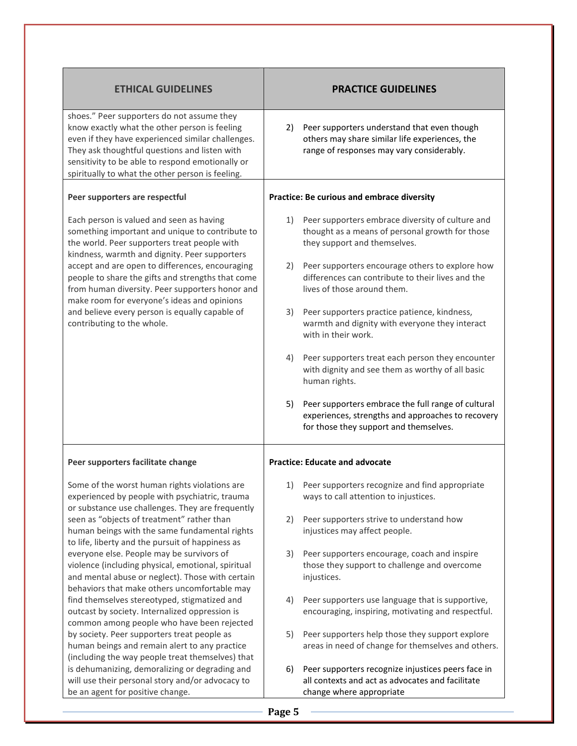| <b>ETHICAL GUIDELINES</b>                                                                                                                                                                                                                                                                                 | <b>PRACTICE GUIDELINES</b>                                                                                                                              |  |  |  |
|-----------------------------------------------------------------------------------------------------------------------------------------------------------------------------------------------------------------------------------------------------------------------------------------------------------|---------------------------------------------------------------------------------------------------------------------------------------------------------|--|--|--|
| shoes." Peer supporters do not assume they<br>know exactly what the other person is feeling<br>even if they have experienced similar challenges.<br>They ask thoughtful questions and listen with<br>sensitivity to be able to respond emotionally or<br>spiritually to what the other person is feeling. | Peer supporters understand that even though<br>2)<br>others may share similar life experiences, the<br>range of responses may vary considerably.        |  |  |  |
| Peer supporters are respectful                                                                                                                                                                                                                                                                            | Practice: Be curious and embrace diversity                                                                                                              |  |  |  |
| Each person is valued and seen as having<br>something important and unique to contribute to<br>the world. Peer supporters treat people with<br>kindness, warmth and dignity. Peer supporters                                                                                                              | Peer supporters embrace diversity of culture and<br>1)<br>thought as a means of personal growth for those<br>they support and themselves.               |  |  |  |
| accept and are open to differences, encouraging<br>people to share the gifts and strengths that come<br>from human diversity. Peer supporters honor and<br>make room for everyone's ideas and opinions                                                                                                    | Peer supporters encourage others to explore how<br>2)<br>differences can contribute to their lives and the<br>lives of those around them.               |  |  |  |
| and believe every person is equally capable of<br>contributing to the whole.                                                                                                                                                                                                                              | Peer supporters practice patience, kindness,<br>3)<br>warmth and dignity with everyone they interact<br>with in their work.                             |  |  |  |
|                                                                                                                                                                                                                                                                                                           | Peer supporters treat each person they encounter<br>4)<br>with dignity and see them as worthy of all basic<br>human rights.                             |  |  |  |
|                                                                                                                                                                                                                                                                                                           | Peer supporters embrace the full range of cultural<br>5)<br>experiences, strengths and approaches to recovery<br>for those they support and themselves. |  |  |  |
| Peer supporters facilitate change                                                                                                                                                                                                                                                                         | <b>Practice: Educate and advocate</b>                                                                                                                   |  |  |  |
| Some of the worst human rights violations are<br>experienced by people with psychiatric, trauma<br>or substance use challenges. They are frequently                                                                                                                                                       | Peer supporters recognize and find appropriate<br>1)<br>ways to call attention to injustices.                                                           |  |  |  |
| seen as "objects of treatment" rather than<br>human beings with the same fundamental rights<br>to life, liberty and the pursuit of happiness as                                                                                                                                                           | 2)<br>Peer supporters strive to understand how<br>injustices may affect people.                                                                         |  |  |  |
| everyone else. People may be survivors of<br>violence (including physical, emotional, spiritual<br>and mental abuse or neglect). Those with certain<br>behaviors that make others uncomfortable may                                                                                                       | Peer supporters encourage, coach and inspire<br>3)<br>those they support to challenge and overcome<br>injustices.                                       |  |  |  |
| find themselves stereotyped, stigmatized and<br>outcast by society. Internalized oppression is<br>common among people who have been rejected                                                                                                                                                              | 4)<br>Peer supporters use language that is supportive,<br>encouraging, inspiring, motivating and respectful.                                            |  |  |  |
| by society. Peer supporters treat people as<br>human beings and remain alert to any practice<br>(including the way people treat themselves) that                                                                                                                                                          | Peer supporters help those they support explore<br>5)<br>areas in need of change for themselves and others.                                             |  |  |  |
| is dehumanizing, demoralizing or degrading and<br>will use their personal story and/or advocacy to<br>be an agent for positive change.                                                                                                                                                                    | 6)<br>Peer supporters recognize injustices peers face in<br>all contexts and act as advocates and facilitate<br>change where appropriate                |  |  |  |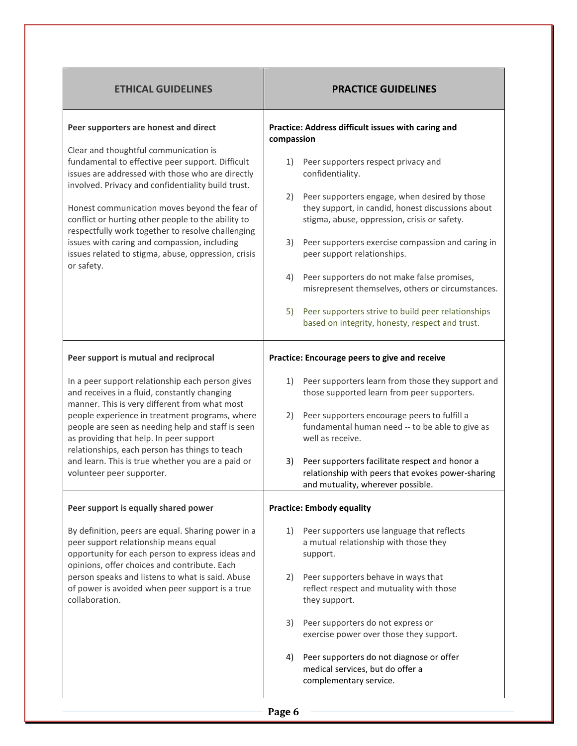| <b>ETHICAL GUIDELINES</b>                                                                                                                                                                                                                                                                                                                                                                                                               | <b>PRACTICE GUIDELINES</b>                                                                                                                               |  |  |
|-----------------------------------------------------------------------------------------------------------------------------------------------------------------------------------------------------------------------------------------------------------------------------------------------------------------------------------------------------------------------------------------------------------------------------------------|----------------------------------------------------------------------------------------------------------------------------------------------------------|--|--|
| Peer supporters are honest and direct                                                                                                                                                                                                                                                                                                                                                                                                   | Practice: Address difficult issues with caring and<br>compassion                                                                                         |  |  |
| Clear and thoughtful communication is<br>fundamental to effective peer support. Difficult<br>issues are addressed with those who are directly<br>involved. Privacy and confidentiality build trust.                                                                                                                                                                                                                                     | Peer supporters respect privacy and<br>1)<br>confidentiality.                                                                                            |  |  |
| Honest communication moves beyond the fear of<br>conflict or hurting other people to the ability to<br>respectfully work together to resolve challenging<br>issues with caring and compassion, including<br>issues related to stigma, abuse, oppression, crisis<br>or safety.                                                                                                                                                           | Peer supporters engage, when desired by those<br>2)<br>they support, in candid, honest discussions about<br>stigma, abuse, oppression, crisis or safety. |  |  |
|                                                                                                                                                                                                                                                                                                                                                                                                                                         | 3)<br>Peer supporters exercise compassion and caring in<br>peer support relationships.                                                                   |  |  |
|                                                                                                                                                                                                                                                                                                                                                                                                                                         | Peer supporters do not make false promises,<br>4)<br>misrepresent themselves, others or circumstances.                                                   |  |  |
|                                                                                                                                                                                                                                                                                                                                                                                                                                         | Peer supporters strive to build peer relationships<br>5)<br>based on integrity, honesty, respect and trust.                                              |  |  |
| Peer support is mutual and reciprocal                                                                                                                                                                                                                                                                                                                                                                                                   | Practice: Encourage peers to give and receive                                                                                                            |  |  |
| In a peer support relationship each person gives<br>and receives in a fluid, constantly changing<br>manner. This is very different from what most<br>people experience in treatment programs, where<br>people are seen as needing help and staff is seen<br>as providing that help. In peer support<br>relationships, each person has things to teach<br>and learn. This is true whether you are a paid or<br>volunteer peer supporter. | Peer supporters learn from those they support and<br>1)<br>those supported learn from peer supporters.                                                   |  |  |
|                                                                                                                                                                                                                                                                                                                                                                                                                                         | Peer supporters encourage peers to fulfill a<br>2)<br>fundamental human need -- to be able to give as<br>well as receive.                                |  |  |
|                                                                                                                                                                                                                                                                                                                                                                                                                                         | Peer supporters facilitate respect and honor a<br>3)<br>relationship with peers that evokes power-sharing<br>and mutuality, wherever possible.           |  |  |
| Peer support is equally shared power                                                                                                                                                                                                                                                                                                                                                                                                    | <b>Practice: Embody equality</b>                                                                                                                         |  |  |
| By definition, peers are equal. Sharing power in a<br>peer support relationship means equal<br>opportunity for each person to express ideas and<br>opinions, offer choices and contribute. Each                                                                                                                                                                                                                                         | Peer supporters use language that reflects<br>1)<br>a mutual relationship with those they<br>support.                                                    |  |  |
| person speaks and listens to what is said. Abuse<br>of power is avoided when peer support is a true<br>collaboration.                                                                                                                                                                                                                                                                                                                   | Peer supporters behave in ways that<br>2)<br>reflect respect and mutuality with those<br>they support.                                                   |  |  |
|                                                                                                                                                                                                                                                                                                                                                                                                                                         | Peer supporters do not express or<br>3)                                                                                                                  |  |  |
|                                                                                                                                                                                                                                                                                                                                                                                                                                         | exercise power over those they support.                                                                                                                  |  |  |
|                                                                                                                                                                                                                                                                                                                                                                                                                                         | Peer supporters do not diagnose or offer<br>4)<br>medical services, but do offer a<br>complementary service.                                             |  |  |
|                                                                                                                                                                                                                                                                                                                                                                                                                                         | Page 6                                                                                                                                                   |  |  |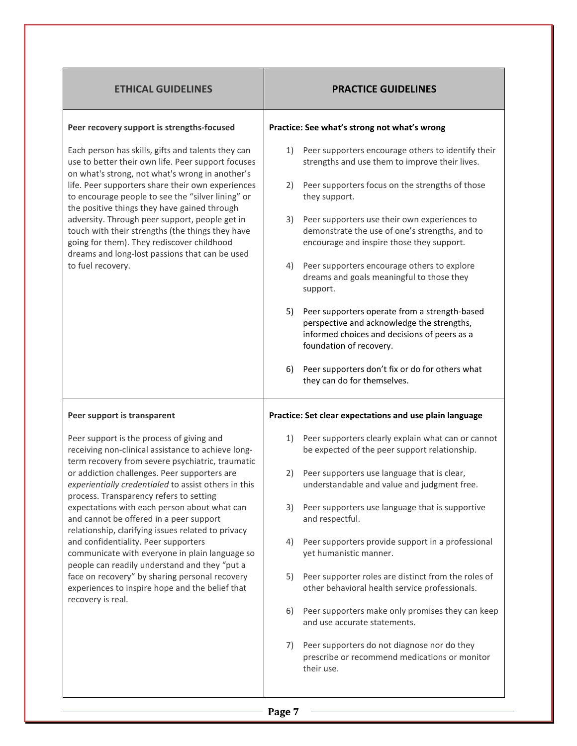| <b>ETHICAL GUIDELINES</b>                                                                                                                                                                                                                                                                                                                                                                                                                                                                                                   | <b>PRACTICE GUIDELINES</b>                                                                                                                                                   |  |  |
|-----------------------------------------------------------------------------------------------------------------------------------------------------------------------------------------------------------------------------------------------------------------------------------------------------------------------------------------------------------------------------------------------------------------------------------------------------------------------------------------------------------------------------|------------------------------------------------------------------------------------------------------------------------------------------------------------------------------|--|--|
| Peer recovery support is strengths-focused                                                                                                                                                                                                                                                                                                                                                                                                                                                                                  | Practice: See what's strong not what's wrong                                                                                                                                 |  |  |
| Each person has skills, gifts and talents they can<br>use to better their own life. Peer support focuses<br>on what's strong, not what's wrong in another's<br>life. Peer supporters share their own experiences<br>to encourage people to see the "silver lining" or<br>the positive things they have gained through<br>adversity. Through peer support, people get in<br>touch with their strengths (the things they have<br>going for them). They rediscover childhood<br>dreams and long-lost passions that can be used | Peer supporters encourage others to identify their<br>1)<br>strengths and use them to improve their lives.                                                                   |  |  |
|                                                                                                                                                                                                                                                                                                                                                                                                                                                                                                                             | Peer supporters focus on the strengths of those<br>2)<br>they support.                                                                                                       |  |  |
|                                                                                                                                                                                                                                                                                                                                                                                                                                                                                                                             | Peer supporters use their own experiences to<br>3)<br>demonstrate the use of one's strengths, and to<br>encourage and inspire those they support.                            |  |  |
| to fuel recovery.                                                                                                                                                                                                                                                                                                                                                                                                                                                                                                           | Peer supporters encourage others to explore<br>4)<br>dreams and goals meaningful to those they<br>support.                                                                   |  |  |
|                                                                                                                                                                                                                                                                                                                                                                                                                                                                                                                             | 5)<br>Peer supporters operate from a strength-based<br>perspective and acknowledge the strengths,<br>informed choices and decisions of peers as a<br>foundation of recovery. |  |  |
|                                                                                                                                                                                                                                                                                                                                                                                                                                                                                                                             | Peer supporters don't fix or do for others what<br>6)<br>they can do for themselves.                                                                                         |  |  |
| Peer support is transparent                                                                                                                                                                                                                                                                                                                                                                                                                                                                                                 | Practice: Set clear expectations and use plain language                                                                                                                      |  |  |
| Peer support is the process of giving and<br>receiving non-clinical assistance to achieve long-<br>term recovery from severe psychiatric, traumatic                                                                                                                                                                                                                                                                                                                                                                         | Peer supporters clearly explain what can or cannot<br>1)<br>be expected of the peer support relationship.                                                                    |  |  |
| or addiction challenges. Peer supporters are<br>experientially credentialed to assist others in this                                                                                                                                                                                                                                                                                                                                                                                                                        | Peer supporters use language that is clear,<br>2)<br>understandable and value and judgment free.                                                                             |  |  |
| process. Transparency refers to setting<br>expectations with each person about what can<br>and cannot be offered in a peer support<br>relationship, clarifying issues related to privacy<br>and confidentiality. Peer supporters<br>communicate with everyone in plain language so<br>people can readily understand and they "put a<br>face on recovery" by sharing personal recovery<br>experiences to inspire hope and the belief that<br>recovery is real.                                                               | Peer supporters use language that is supportive<br>3)<br>and respectful.                                                                                                     |  |  |
|                                                                                                                                                                                                                                                                                                                                                                                                                                                                                                                             | Peer supporters provide support in a professional<br>4)<br>yet humanistic manner.                                                                                            |  |  |
|                                                                                                                                                                                                                                                                                                                                                                                                                                                                                                                             | Peer supporter roles are distinct from the roles of<br>5)<br>other behavioral health service professionals.                                                                  |  |  |
|                                                                                                                                                                                                                                                                                                                                                                                                                                                                                                                             | Peer supporters make only promises they can keep<br>6)<br>and use accurate statements.                                                                                       |  |  |
|                                                                                                                                                                                                                                                                                                                                                                                                                                                                                                                             | Peer supporters do not diagnose nor do they<br>7)<br>prescribe or recommend medications or monitor<br>their use.                                                             |  |  |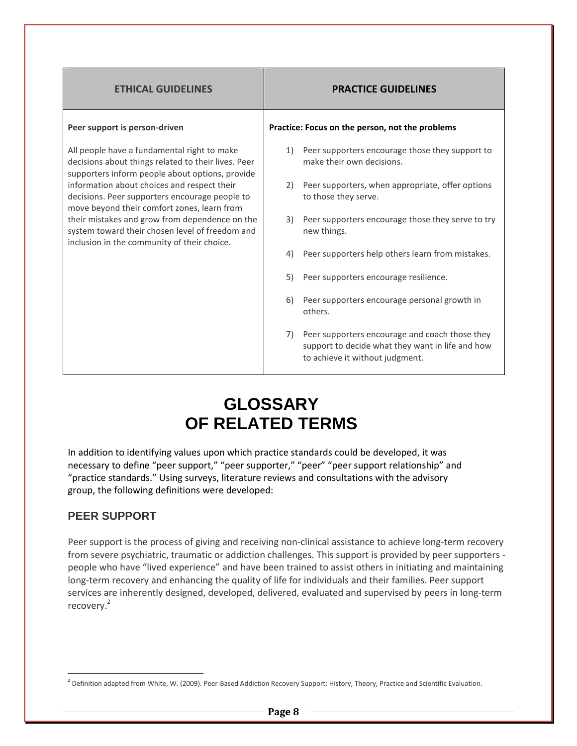| <b>ETHICAL GUIDELINES</b>                                                                                                                             | <b>PRACTICE GUIDELINES</b>                                                                                                                  |  |  |  |
|-------------------------------------------------------------------------------------------------------------------------------------------------------|---------------------------------------------------------------------------------------------------------------------------------------------|--|--|--|
| Peer support is person-driven                                                                                                                         | Practice: Focus on the person, not the problems                                                                                             |  |  |  |
| All people have a fundamental right to make<br>decisions about things related to their lives. Peer<br>supporters inform people about options, provide | Peer supporters encourage those they support to<br>1)<br>make their own decisions.                                                          |  |  |  |
| information about choices and respect their<br>decisions. Peer supporters encourage people to<br>move beyond their comfort zones, learn from          | Peer supporters, when appropriate, offer options<br>2)<br>to those they serve.                                                              |  |  |  |
| their mistakes and grow from dependence on the<br>system toward their chosen level of freedom and<br>inclusion in the community of their choice.      | Peer supporters encourage those they serve to try<br>3)<br>new things.                                                                      |  |  |  |
|                                                                                                                                                       | 4)<br>Peer supporters help others learn from mistakes.                                                                                      |  |  |  |
|                                                                                                                                                       | Peer supporters encourage resilience.<br>5)                                                                                                 |  |  |  |
|                                                                                                                                                       | Peer supporters encourage personal growth in<br>6)<br>others.                                                                               |  |  |  |
|                                                                                                                                                       | Peer supporters encourage and coach those they<br>7)<br>support to decide what they want in life and how<br>to achieve it without judgment. |  |  |  |

# **GLOSSARY OF RELATED TERMS**

In addition to identifying values upon which practice standards could be developed, it was necessary to define "peer support," "peer supporter," "peer" "peer support relationship" and "practice standards." Using surveys, literature reviews and consultations with the advisory group, the following definitions were developed:

# **PEER SUPPORT**

-

Peer support is the process of giving and receiving non-clinical assistance to achieve long-term recovery from severe psychiatric, traumatic or addiction challenges. This support is provided by peer supporters people who have "lived experience" and have been trained to assist others in initiating and maintaining long-term recovery and enhancing the quality of life for individuals and their families. Peer support services are inherently designed, developed, delivered, evaluated and supervised by peers in long-term recovery.<sup>2</sup>

<sup>&</sup>lt;sup>2</sup> Definition adapted from White, W. (2009). Peer-Based Addiction Recovery Support: History, Theory, Practice and Scientific Evaluation.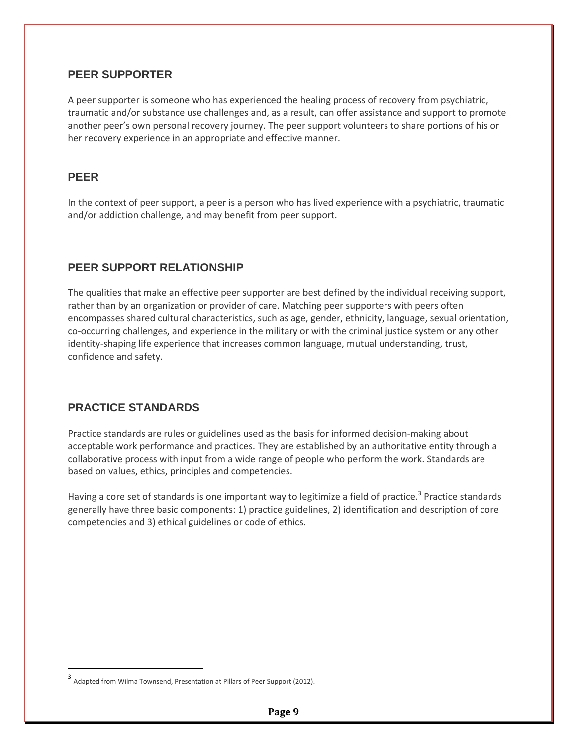### **PEER SUPPORTER**

A peer supporter is someone who has experienced the healing process of recovery from psychiatric, traumatic and/or substance use challenges and, as a result, can offer assistance and support to promote another peer's own personal recovery journey. The peer support volunteers to share portions of his or her recovery experience in an appropriate and effective manner.

### **PEER**

-

In the context of peer support, a peer is a person who has lived experience with a psychiatric, traumatic and/or addiction challenge, and may benefit from peer support.

### **PEER SUPPORT RELATIONSHIP**

The qualities that make an effective peer supporter are best defined by the individual receiving support, rather than by an organization or provider of care. Matching peer supporters with peers often encompasses shared cultural characteristics, such as age, gender, ethnicity, language, sexual orientation, co-occurring challenges, and experience in the military or with the criminal justice system or any other identity-shaping life experience that increases common language, mutual understanding, trust, confidence and safety.

# **PRACTICE STANDARDS**

Practice standards are rules or guidelines used as the basis for informed decision-making about acceptable work performance and practices. They are established by an authoritative entity through a collaborative process with input from a wide range of people who perform the work. Standards are based on values, ethics, principles and competencies.

Having a core set of standards is one important way to legitimize a field of practice.<sup>3</sup> Practice standards generally have three basic components: 1) practice guidelines, 2) identification and description of core competencies and 3) ethical guidelines or code of ethics.

<sup>3</sup> Adapted from Wilma Townsend, Presentation at Pillars of Peer Support (2012).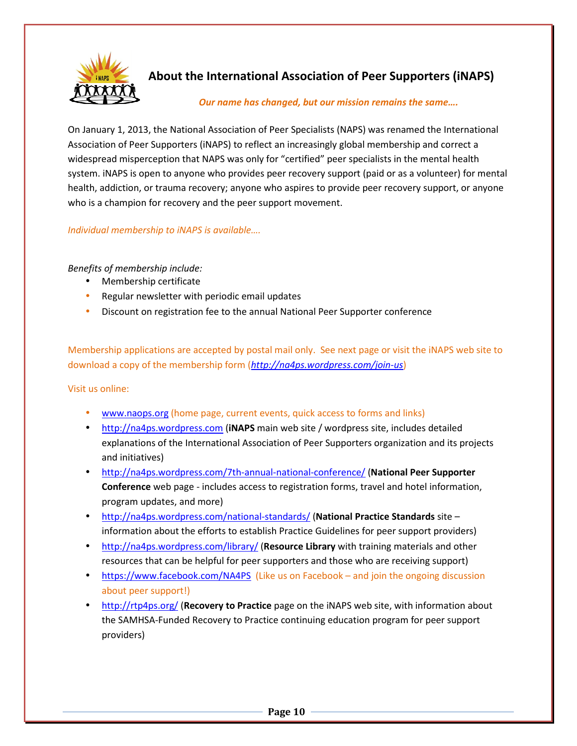

# **About the International Association of Peer Supporters (iNAPS)**

#### *Our name has changed, but our mission remains the same….*

On January 1, 2013, the National Association of Peer Specialists (NAPS) was renamed the International Association of Peer Supporters (iNAPS) to reflect an increasingly global membership and correct a widespread misperception that NAPS was only for "certified" peer specialists in the mental health system. iNAPS is open to anyone who provides peer recovery support (paid or as a volunteer) for mental health, addiction, or trauma recovery; anyone who aspires to provide peer recovery support, or anyone who is a champion for recovery and the peer support movement.

### *Individual membership to iNAPS is available….*

#### *Benefits of membership include:*

- Membership certificate
- Regular newsletter with periodic email updates
- Discount on registration fee to the annual National Peer Supporter conference

Membership applications are accepted by postal mail only. See next page or visit the iNAPS web site to download a copy of the membership form (*http://na4ps.wordpress.com/join-us*)

#### Visit us online:

- www.naops.org (home page, current events, quick access to forms and links)
- http://na4ps.wordpress.com (**iNAPS** main web site / wordpress site, includes detailed explanations of the International Association of Peer Supporters organization and its projects and initiatives)
- http://na4ps.wordpress.com/7th-annual-national-conference/ (**National Peer Supporter Conference** web page - includes access to registration forms, travel and hotel information, program updates, and more)
- http://na4ps.wordpress.com/national-standards/ (**National Practice Standards** site information about the efforts to establish Practice Guidelines for peer support providers)
- http://na4ps.wordpress.com/library/ (**Resource Library** with training materials and other resources that can be helpful for peer supporters and those who are receiving support)
- https://www.facebook.com/NA4PS (Like us on Facebook and join the ongoing discussion about peer support!)
- http://rtp4ps.org/ (**Recovery to Practice** page on the iNAPS web site, with information about the SAMHSA-Funded Recovery to Practice continuing education program for peer support providers)